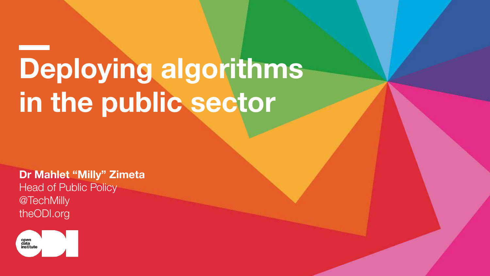#### **Deploying algorithms in the public sector**

**Dr Mahlet "Milly" Zimeta** Head of Public Policy @TechMilly theODI.org

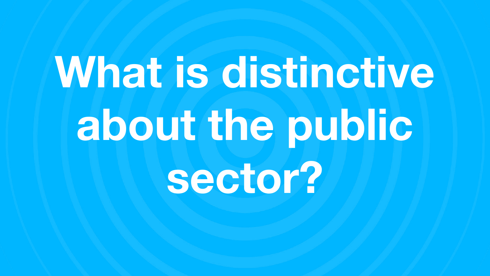# **What is distinctive about the public sector?**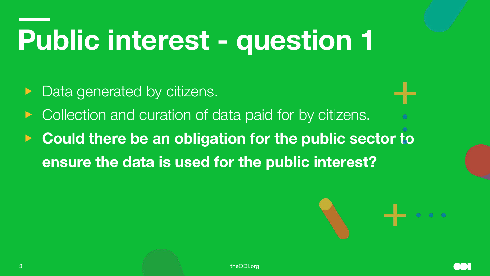- Data generated by citizens.
- Collection and curation of data paid for by citizens.
- **Could there be an obligation for the public sector to ensure the data is used for the public interest?**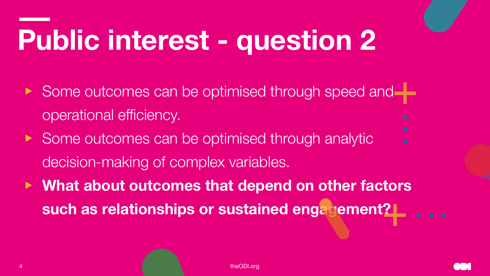- ▶ Some outcomes can be optimised through speed and operational efficiency.
- ▶ Some outcomes can be optimised through analytic decision-making of complex variables.
- ▶ **What about outcomes that depend on other factors such as relationships or sustained engagement?**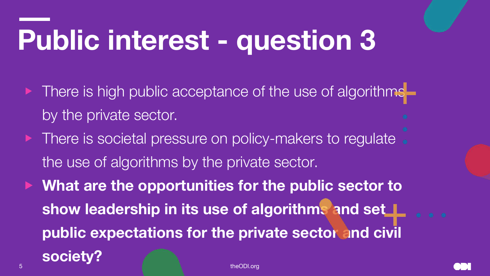- There is high public acceptance of the use of algorithmsby the private sector.
- There is societal pressure on policy-makers to regulate. the use of algorithms by the private sector.
- What are the opportunities for the public sector to **show leadership in its use of algorithms and set public expectations for the private sector and civil**

**society?**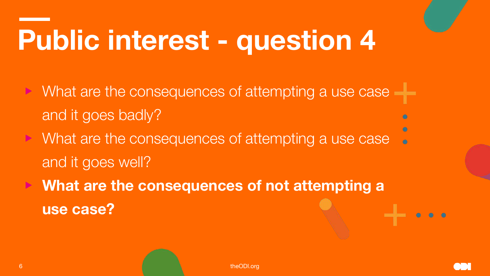- What are the consequences of attempting a use case and it goes badly?
- What are the consequences of attempting a use case and it goes well?
- ▶ **What are the consequences of not attempting a use case?**